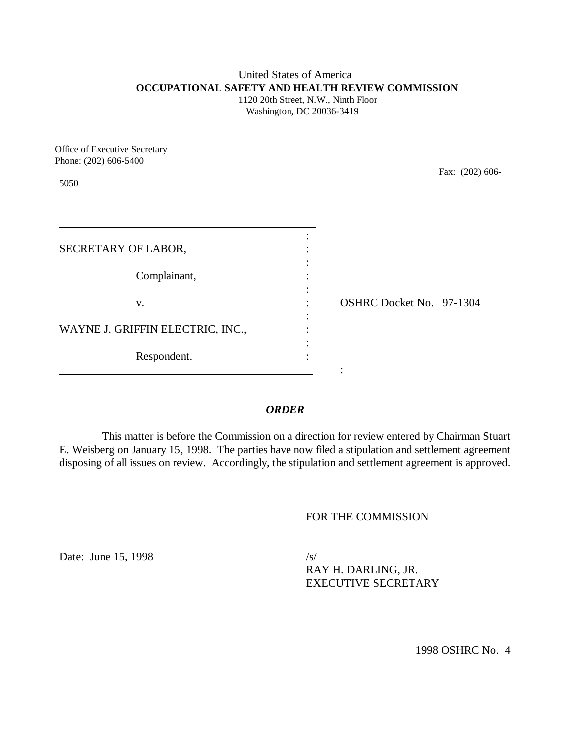#### United States of America **OCCUPATIONAL SAFETY AND HEALTH REVIEW COMMISSION** 1120 20th Street, N.W., Ninth Floor

Washington, DC 20036-3419

Office of Executive Secretary Phone: (202) 606-5400

5050

Fax: (202) 606-

| SECRETARY OF LABOR,              |                          |
|----------------------------------|--------------------------|
| Complainant,                     |                          |
| V.                               | OSHRC Docket No. 97-1304 |
| WAYNE J. GRIFFIN ELECTRIC, INC., |                          |
| Respondent.                      |                          |

## *ORDER*

This matter is before the Commission on a direction for review entered by Chairman Stuart E. Weisberg on January 15, 1998. The parties have now filed a stipulation and settlement agreement disposing of all issues on review. Accordingly, the stipulation and settlement agreement is approved.

## FOR THE COMMISSION

Date: June 15, 1998 /s/

RAY H. DARLING, JR. EXECUTIVE SECRETARY

1998 OSHRC No. 4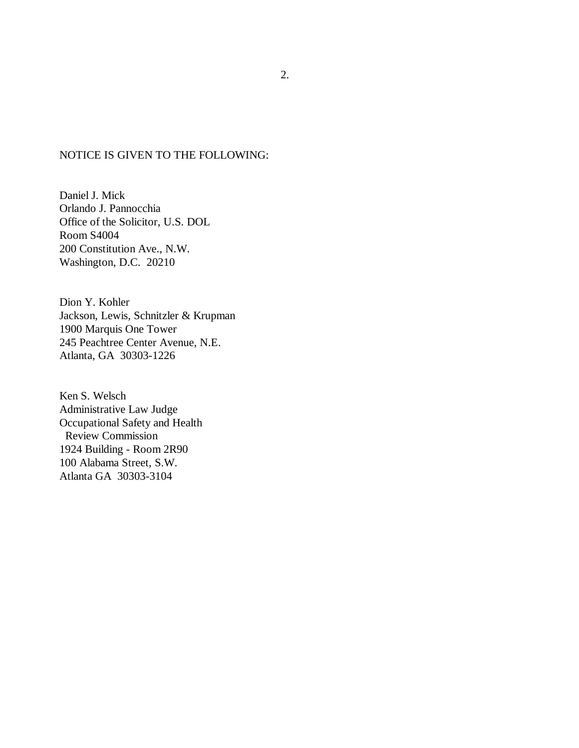#### NOTICE IS GIVEN TO THE FOLLOWING:

Daniel J. Mick Orlando J. Pannocchia Office of the Solicitor, U.S. DOL Room S4004 200 Constitution Ave., N.W. Washington, D.C. 20210

Dion Y. Kohler Jackson, Lewis, Schnitzler & Krupman 1900 Marquis One Tower 245 Peachtree Center Avenue, N.E. Atlanta, GA 30303-1226

Ken S. Welsch Administrative Law Judge Occupational Safety and Health Review Commission 1924 Building - Room 2R90 100 Alabama Street, S.W. Atlanta GA 30303-3104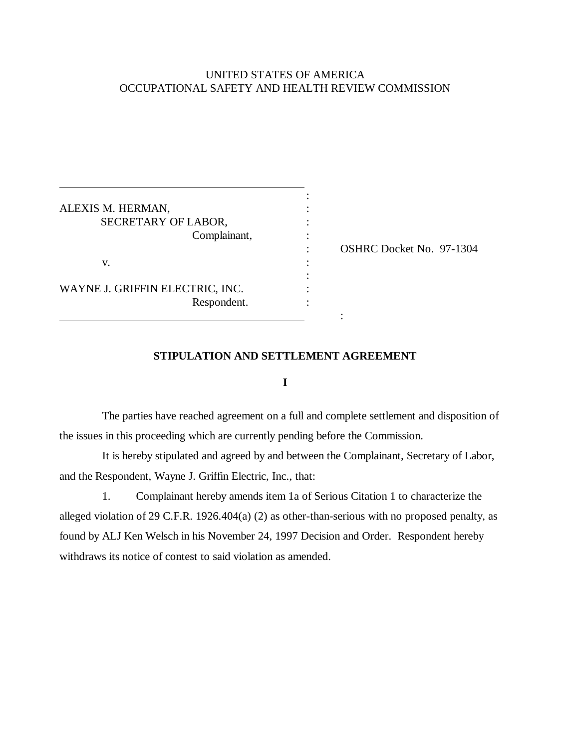# UNITED STATES OF AMERICA OCCUPATIONAL SAFETY AND HEALTH REVIEW COMMISSION

| ALEXIS M. HERMAN,               |  |
|---------------------------------|--|
| SECRETARY OF LABOR,             |  |
| Complainant,                    |  |
|                                 |  |
| v.                              |  |
|                                 |  |
| WAYNE J. GRIFFIN ELECTRIC, INC. |  |
| Respondent.                     |  |
|                                 |  |

 $\overline{a}$ 

: OSHRC Docket No. 97-1304

### **STIPULATION AND SETTLEMENT AGREEMENT**

**I**

The parties have reached agreement on a full and complete settlement and disposition of the issues in this proceeding which are currently pending before the Commission.

It is hereby stipulated and agreed by and between the Complainant, Secretary of Labor, and the Respondent, Wayne J. Griffin Electric, Inc., that:

1. Complainant hereby amends item 1a of Serious Citation 1 to characterize the alleged violation of 29 C.F.R. 1926.404(a) (2) as other-than-serious with no proposed penalty, as found by ALJ Ken Welsch in his November 24, 1997 Decision and Order. Respondent hereby withdraws its notice of contest to said violation as amended.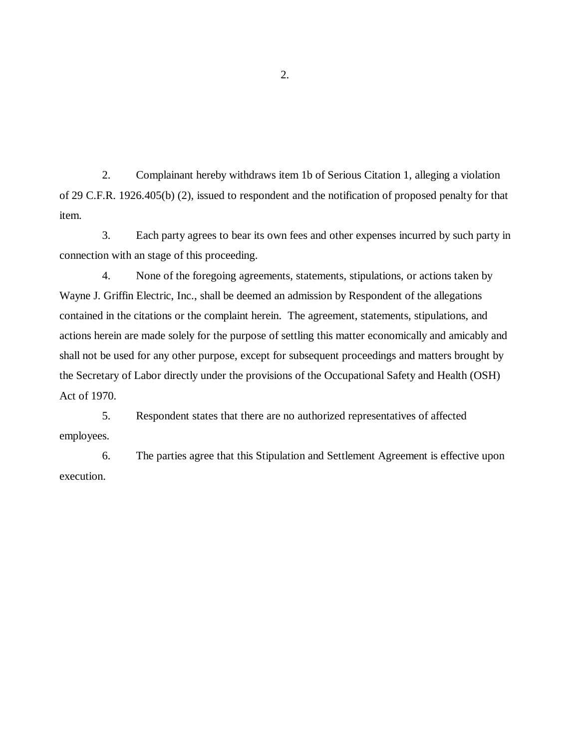2. Complainant hereby withdraws item 1b of Serious Citation 1, alleging a violation of 29 C.F.R. 1926.405(b) (2), issued to respondent and the notification of proposed penalty for that item.

3. Each party agrees to bear its own fees and other expenses incurred by such party in connection with an stage of this proceeding.

4. None of the foregoing agreements, statements, stipulations, or actions taken by Wayne J. Griffin Electric, Inc., shall be deemed an admission by Respondent of the allegations contained in the citations or the complaint herein. The agreement, statements, stipulations, and actions herein are made solely for the purpose of settling this matter economically and amicably and shall not be used for any other purpose, except for subsequent proceedings and matters brought by the Secretary of Labor directly under the provisions of the Occupational Safety and Health (OSH) Act of 1970.

5. Respondent states that there are no authorized representatives of affected employees.

6. The parties agree that this Stipulation and Settlement Agreement is effective upon execution.